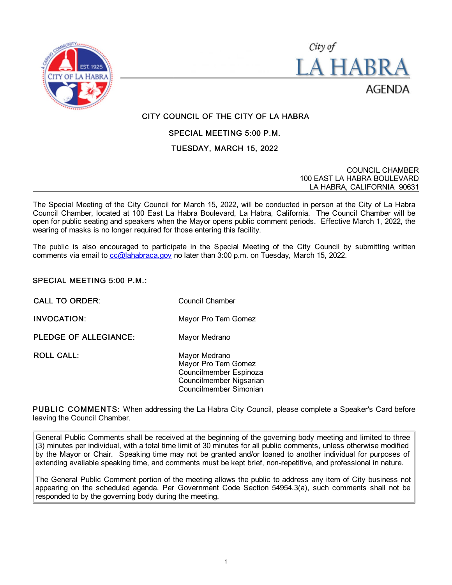



# CITY COUNCIL OF THE CITY OF LA HABRA

## SPECIAL MEETING 5:00 P.M.

## TUESDAY, MARCH 15, 2022

COUNCIL CHAMBER 100 EAST LA HABRA BOULEVARD LA HABRA, CALIFORNIA 90631

The Special Meeting of the City Council for March 15, 2022, will be conducted in person at the City of La Habra Council Chamber, located at 100 East La Habra Boulevard, La Habra, California. The Council Chamber will be open for public seating and speakers when the Mayor opens public comment periods. Effective March 1, 2022, the wearing of masks is no longer required for those entering this facility.

The public is also encouraged to participate in the Special Meeting of the City Council by submitting written comments via email to [cc@lahabraca.gov](mailto:cc@lahabraca.gov) no later than 3:00 p.m. on Tuesday, March 15, 2022.

#### SPECIAL MEETING 5:00 P.M.:

CALL TO ORDER: Council Chamber

INVOCATION: Mayor Pro Tem Gomez

PLEDGE OF ALLEGIANCE: Mayor Medrano

ROLL CALL: Mayor Medrano Mayor Pro Tem Gomez Councilmember Espinoza Councilmember Nigsarian Councilmember Simonian

PUBLIC COMMENTS: When addressing the La Habra City Council, please complete a Speaker's Card before leaving the Council Chamber.

General Public Comments shall be received at the beginning of the governing body meeting and limited to three (3) minutes per individual, with a total time limit of 30 minutes for all public comments, unless otherwise modified by the Mayor or Chair. Speaking time may not be granted and/or loaned to another individual for purposes of extending available speaking time, and comments must be kept brief, non-repetitive, and professional in nature.

The General Public Comment portion of the meeting allows the public to address any item of City business not appearing on the scheduled agenda. Per Government Code Section 54954.3(a), such comments shall not be responded to by the governing body during the meeting.